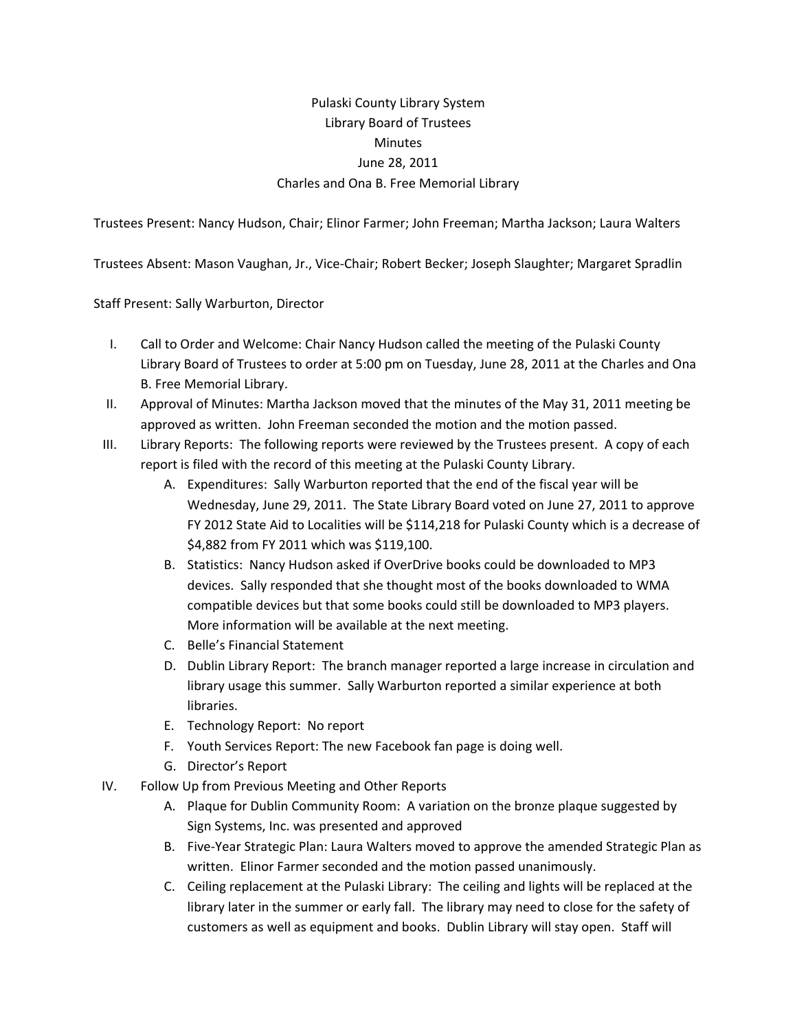## Pulaski County Library System Library Board of Trustees **Minutes** June 28, 2011 Charles and Ona B. Free Memorial Library

Trustees Present: Nancy Hudson, Chair; Elinor Farmer; John Freeman; Martha Jackson; Laura Walters

Trustees Absent: Mason Vaughan, Jr., Vice‐Chair; Robert Becker; Joseph Slaughter; Margaret Spradlin

Staff Present: Sally Warburton, Director

- I. Call to Order and Welcome: Chair Nancy Hudson called the meeting of the Pulaski County Library Board of Trustees to order at 5:00 pm on Tuesday, June 28, 2011 at the Charles and Ona B. Free Memorial Library.
- II. Approval of Minutes: Martha Jackson moved that the minutes of the May 31, 2011 meeting be approved as written. John Freeman seconded the motion and the motion passed.
- III. Library Reports: The following reports were reviewed by the Trustees present. A copy of each report is filed with the record of this meeting at the Pulaski County Library.
	- A. Expenditures: Sally Warburton reported that the end of the fiscal year will be Wednesday, June 29, 2011. The State Library Board voted on June 27, 2011 to approve FY 2012 State Aid to Localities will be \$114,218 for Pulaski County which is a decrease of \$4,882 from FY 2011 which was \$119,100.
	- B. Statistics: Nancy Hudson asked if OverDrive books could be downloaded to MP3 devices. Sally responded that she thought most of the books downloaded to WMA compatible devices but that some books could still be downloaded to MP3 players. More information will be available at the next meeting.
	- C. Belle's Financial Statement
	- D. Dublin Library Report: The branch manager reported a large increase in circulation and library usage this summer. Sally Warburton reported a similar experience at both libraries.
	- E. Technology Report: No report
	- F. Youth Services Report: The new Facebook fan page is doing well.
	- G. Director's Report
- IV. Follow Up from Previous Meeting and Other Reports
	- A. Plaque for Dublin Community Room: A variation on the bronze plaque suggested by Sign Systems, Inc. was presented and approved
	- B. Five‐Year Strategic Plan: Laura Walters moved to approve the amended Strategic Plan as written. Elinor Farmer seconded and the motion passed unanimously.
	- C. Ceiling replacement at the Pulaski Library: The ceiling and lights will be replaced at the library later in the summer or early fall. The library may need to close for the safety of customers as well as equipment and books. Dublin Library will stay open. Staff will